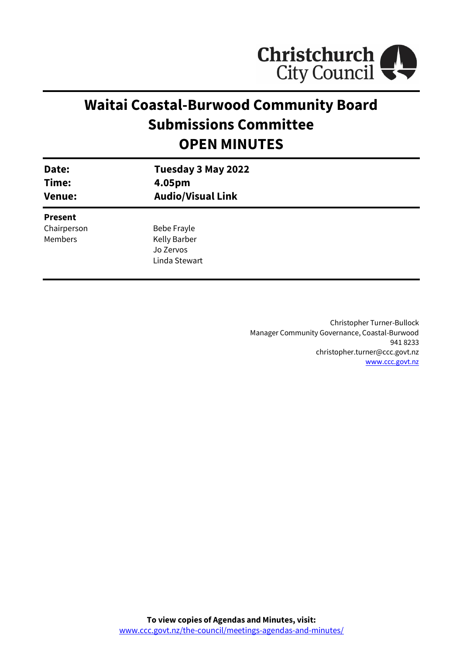

# **Waitai Coastal-Burwood Community Board Submissions Committee OPEN MINUTES**

| Date:<br>Time:<br><b>Venue:</b> | Tuesday 3 May 2022<br>4.05pm<br><b>Audio/Visual Link</b> |  |
|---------------------------------|----------------------------------------------------------|--|
| <b>Present</b>                  |                                                          |  |
| Chairperson                     | Bebe Frayle                                              |  |
| <b>Members</b>                  | <b>Kelly Barber</b>                                      |  |
|                                 | Jo Zervos                                                |  |
|                                 | Linda Stewart                                            |  |
|                                 |                                                          |  |

Christopher Turner-Bullock Manager Community Governance, Coastal-Burwood 941 8233 christopher.turner@ccc.govt.nz [www.ccc.govt.nz](http://www.ccc.govt.nz/)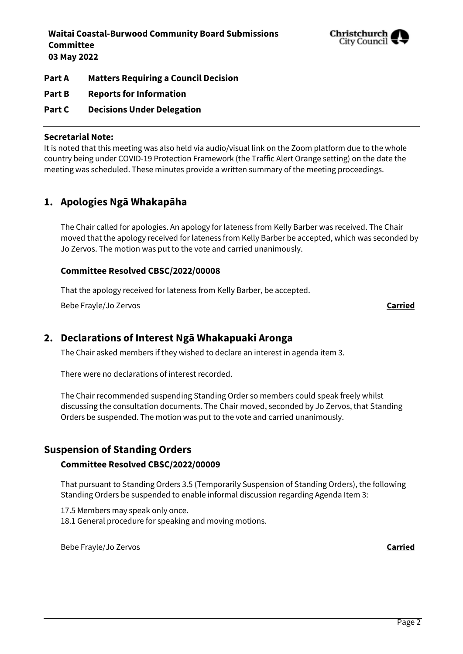

# **Part A Matters Requiring a Council Decision**

- **Part B Reports for Information**
- **Part C Decisions Under Delegation**

#### **Secretarial Note:**

It is noted that this meeting was also held via audio/visual link on the Zoom platform due to the whole country being under COVID-19 Protection Framework (the Traffic Alert Orange setting) on the date the meeting was scheduled. These minutes provide a written summary of the meeting proceedings.

# **1. Apologies Ngā Whakapāha**

The Chair called for apologies. An apology for lateness from Kelly Barber was received. The Chair moved that the apology received for lateness from Kelly Barber be accepted, which was seconded by Jo Zervos. The motion was put to the vote and carried unanimously.

#### **Committee Resolved CBSC/2022/00008**

That the apology received for lateness from Kelly Barber, be accepted.

Bebe Frayle/Jo Zervos **Carried**

# **2. Declarations of Interest Ngā Whakapuaki Aronga**

The Chair asked members if they wished to declare an interest in agenda item 3.

There were no declarations of interest recorded.

The Chair recommended suspending Standing Order so members could speak freely whilst discussing the consultation documents. The Chair moved, seconded by Jo Zervos, that Standing Orders be suspended. The motion was put to the vote and carried unanimously.

# **Suspension of Standing Orders**

# **Committee Resolved CBSC/2022/00009**

That pursuant to Standing Orders 3.5 (Temporarily Suspension of Standing Orders), the following Standing Orders be suspended to enable informal discussion regarding Agenda Item 3:

17.5 Members may speak only once.

18.1 General procedure for speaking and moving motions.

Bebe Frayle/Jo Zervos **Carried**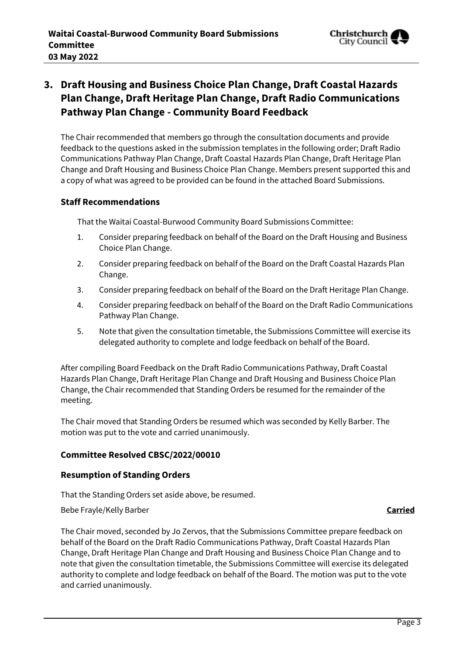

# **3. Draft Housing and Business Choice Plan Change, Draft Coastal Hazards Plan Change, Draft Heritage Plan Change, Draft Radio Communications Pathway Plan Change - Community Board Feedback**

The Chair recommended that members go through the consultation documents and provide feedback to the questions asked in the submission templates in the following order; Draft Radio Communications Pathway Plan Change, Draft Coastal Hazards Plan Change, Draft Heritage Plan Change and Draft Housing and Business Choice Plan Change. Members present supported this and a copy of what was agreed to be provided can be found in the attached Board Submissions.

# **Staff Recommendations**

That the Waitai Coastal-Burwood Community Board Submissions Committee:

- 1. Consider preparing feedback on behalf of the Board on the Draft Housing and Business Choice Plan Change.
- 2. Consider preparing feedback on behalf of the Board on the Draft Coastal Hazards Plan Change.
- 3. Consider preparing feedback on behalf of the Board on the Draft Heritage Plan Change.
- 4. Consider preparing feedback on behalf of the Board on the Draft Radio Communications Pathway Plan Change.
- 5. Note that given the consultation timetable, the Submissions Committee will exercise its delegated authority to complete and lodge feedback on behalf of the Board.

After compiling Board Feedback on the Draft Radio Communications Pathway, Draft Coastal Hazards Plan Change, Draft Heritage Plan Change and Draft Housing and Business Choice Plan Change, the Chair recommended that Standing Orders be resumed for the remainder of the meeting.

The Chair moved that Standing Orders be resumed which was seconded by Kelly Barber. The motion was put to the vote and carried unanimously.

#### **Committee Resolved CBSC/2022/00010**

#### **Resumption of Standing Orders**

That the Standing Orders set aside above, be resumed.

Bebe Frayle/Kelly Barber **Carried**

The Chair moved, seconded by Jo Zervos, that the Submissions Committee prepare feedback on behalf of the Board on the Draft Radio Communications Pathway, Draft Coastal Hazards Plan Change, Draft Heritage Plan Change and Draft Housing and Business Choice Plan Change and to note that given the consultation timetable, the Submissions Committee will exercise its delegated authority to complete and lodge feedback on behalf of the Board. The motion was put to the vote and carried unanimously.